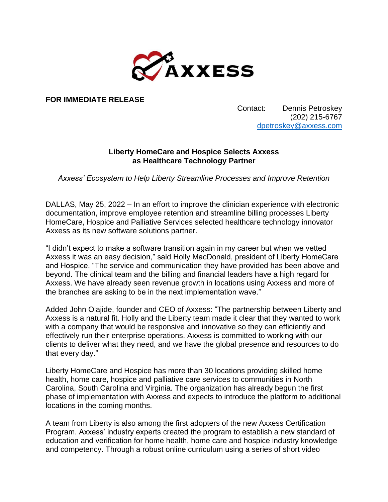

**FOR IMMEDIATE RELEASE**

Contact: Dennis Petroskey (202) 215-6767 [dpetroskey@axxess.com](mailto:dpetroskey@axxess.com)

## **Liberty HomeCare and Hospice Selects Axxess as Healthcare Technology Partner**

*Axxess' Ecosystem to Help Liberty Streamline Processes and Improve Retention*

DALLAS, May 25, 2022 – In an effort to improve the clinician experience with electronic documentation, improve employee retention and streamline billing processes Liberty HomeCare, Hospice and Palliative Services selected healthcare technology innovator Axxess as its new software solutions partner.

"I didn't expect to make a software transition again in my career but when we vetted Axxess it was an easy decision," said Holly MacDonald, president of Liberty HomeCare and Hospice. "The service and communication they have provided has been above and beyond. The clinical team and the billing and financial leaders have a high regard for Axxess. We have already seen revenue growth in locations using Axxess and more of the branches are asking to be in the next implementation wave."

Added John Olajide, founder and CEO of Axxess: "The partnership between Liberty and Axxess is a natural fit. Holly and the Liberty team made it clear that they wanted to work with a company that would be responsive and innovative so they can efficiently and effectively run their enterprise operations. Axxess is committed to working with our clients to deliver what they need, and we have the global presence and resources to do that every day."

Liberty HomeCare and Hospice has more than 30 locations providing skilled home health, home care, hospice and palliative care services to communities in North Carolina, South Carolina and Virginia. The organization has already begun the first phase of implementation with Axxess and expects to introduce the platform to additional locations in the coming months.

A team from Liberty is also among the first adopters of the new Axxess Certification Program. Axxess' industry experts created the program to establish a new standard of education and verification for home health, home care and hospice industry knowledge and competency. Through a robust online curriculum using a series of short video